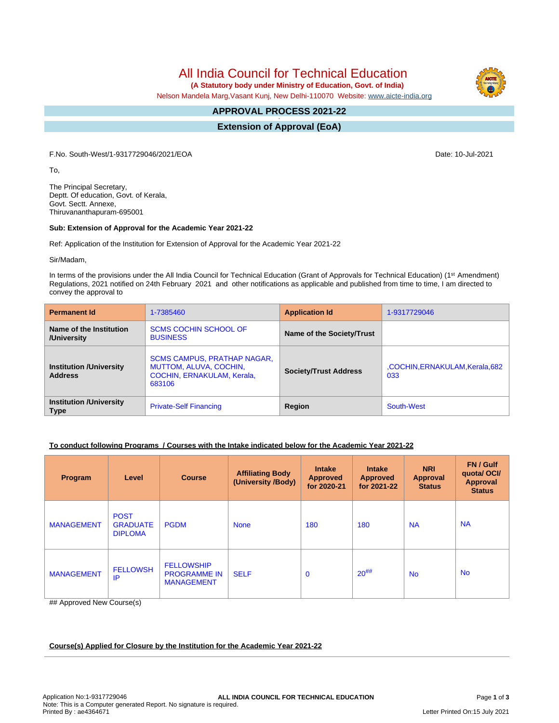All India Council for Technical Education

 **(A Statutory body under Ministry of Education, Govt. of India)**

Nelson Mandela Marg,Vasant Kunj, New Delhi-110070 Website: [www.aicte-india.org](http://www.aicte-india.org)

#### **APPROVAL PROCESS 2021-22 -**

**Extension of Approval (EoA)**

F.No. South-West/1-9317729046/2021/EOA Date: 10-Jul-2021

To,

The Principal Secretary, Deptt. Of education, Govt. of Kerala, Govt. Sectt. Annexe, Thiruvananthapuram-695001

#### **Sub: Extension of Approval for the Academic Year 2021-22**

Ref: Application of the Institution for Extension of Approval for the Academic Year 2021-22

Sir/Madam,

In terms of the provisions under the All India Council for Technical Education (Grant of Approvals for Technical Education) (1<sup>st</sup> Amendment) Regulations, 2021 notified on 24th February 2021 and other notifications as applicable and published from time to time, I am directed to convey the approval to

| <b>Permanent Id</b>                              | 1-7385460                                                                                                   | <b>Application Id</b>        | 1-9317729046                           |
|--------------------------------------------------|-------------------------------------------------------------------------------------------------------------|------------------------------|----------------------------------------|
| Name of the Institution<br>/University           | <b>SCMS COCHIN SCHOOL OF</b><br><b>BUSINESS</b>                                                             | Name of the Society/Trust    |                                        |
| <b>Institution /University</b><br><b>Address</b> | <b>SCMS CAMPUS, PRATHAP NAGAR,</b><br><b>MUTTOM, ALUVA, COCHIN,</b><br>COCHIN, ERNAKULAM, Kerala,<br>683106 | <b>Society/Trust Address</b> | ,COCHIN, ERNAKULAM, Kerala, 682<br>033 |
| <b>Institution /University</b><br><b>Type</b>    | <b>Private-Self Financing</b>                                                                               | Region                       | South-West                             |

## **To conduct following Programs / Courses with the Intake indicated below for the Academic Year 2021-22**

| Program           | Level                                            | <b>Course</b>                                                 | <b>Affiliating Body</b><br>(University /Body) | <b>Intake</b><br><b>Approved</b><br>for 2020-21 | <b>Intake</b><br><b>Approved</b><br>for 2021-22 | <b>NRI</b><br><b>Approval</b><br><b>Status</b> | FN / Gulf<br>quotal OCI/<br>Approval<br><b>Status</b> |
|-------------------|--------------------------------------------------|---------------------------------------------------------------|-----------------------------------------------|-------------------------------------------------|-------------------------------------------------|------------------------------------------------|-------------------------------------------------------|
| <b>MANAGEMENT</b> | <b>POST</b><br><b>GRADUATE</b><br><b>DIPLOMA</b> | <b>PGDM</b>                                                   | <b>None</b>                                   | 180                                             | 180                                             | <b>NA</b>                                      | <b>NA</b>                                             |
| <b>MANAGEMENT</b> | <b>FELLOWSH</b><br>IP                            | <b>FELLOWSHIP</b><br><b>PROGRAMME IN</b><br><b>MANAGEMENT</b> | <b>SELF</b>                                   | $\mathbf 0$                                     | $20^{#}\%$                                      | <b>No</b>                                      | <b>No</b>                                             |

## Approved New Course(s)

**Course(s) Applied for Closure by the Institution for the Academic Year 2021-22**

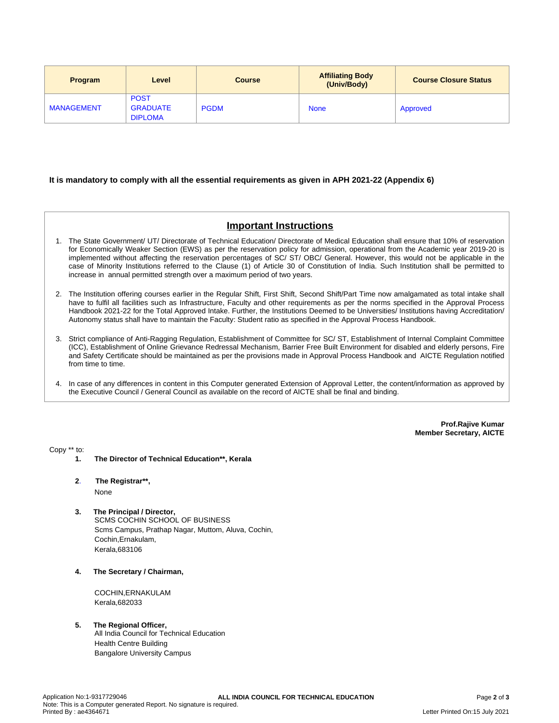| <b>Program</b>    | Level                                            | <b>Course</b> | <b>Affiliating Body</b><br>(Univ/Body) | <b>Course Closure Status</b> |
|-------------------|--------------------------------------------------|---------------|----------------------------------------|------------------------------|
| <b>MANAGEMENT</b> | <b>POST</b><br><b>GRADUATE</b><br><b>DIPLOMA</b> | <b>PGDM</b>   | <b>None</b>                            | Approved                     |

#### **It is mandatory to comply with all the essential requirements as given in APH 2021-22 (Appendix 6)**

# **Important Instructions**

- 1. The State Government/ UT/ Directorate of Technical Education/ Directorate of Medical Education shall ensure that 10% of reservation for Economically Weaker Section (EWS) as per the reservation policy for admission, operational from the Academic year 2019-20 is implemented without affecting the reservation percentages of SC/ ST/ OBC/ General. However, this would not be applicable in the case of Minority Institutions referred to the Clause (1) of Article 30 of Constitution of India. Such Institution shall be permitted to increase in annual permitted strength over a maximum period of two years.
- 2. The Institution offering courses earlier in the Regular Shift, First Shift, Second Shift/Part Time now amalgamated as total intake shall have to fulfil all facilities such as Infrastructure, Faculty and other requirements as per the norms specified in the Approval Process Handbook 2021-22 for the Total Approved Intake. Further, the Institutions Deemed to be Universities/ Institutions having Accreditation/ Autonomy status shall have to maintain the Faculty: Student ratio as specified in the Approval Process Handbook.
- 3. Strict compliance of Anti-Ragging Regulation, Establishment of Committee for SC/ ST, Establishment of Internal Complaint Committee (ICC), Establishment of Online Grievance Redressal Mechanism, Barrier Free Built Environment for disabled and elderly persons, Fire and Safety Certificate should be maintained as per the provisions made in Approval Process Handbook and AICTE Regulation notified from time to time.
- 4. In case of any differences in content in this Computer generated Extension of Approval Letter, the content/information as approved by the Executive Council / General Council as available on the record of AICTE shall be final and binding.

**Prof.Rajive Kumar Member Secretary, AICTE**

Copy \*\* to:

**1. The Director of Technical Education\*\*, Kerala**

**2**. **The Registrar\*\*,**

None

- **3. The Principal / Director,** SCMS COCHIN SCHOOL OF BUSINESS Scms Campus, Prathap Nagar, Muttom, Aluva, Cochin, Cochin,Ernakulam, Kerala,683106
- **4. The Secretary / Chairman,**

COCHIN,ERNAKULAM Kerala,682033

## **5. The Regional Officer,**

All India Council for Technical Education Health Centre Building Bangalore University Campus